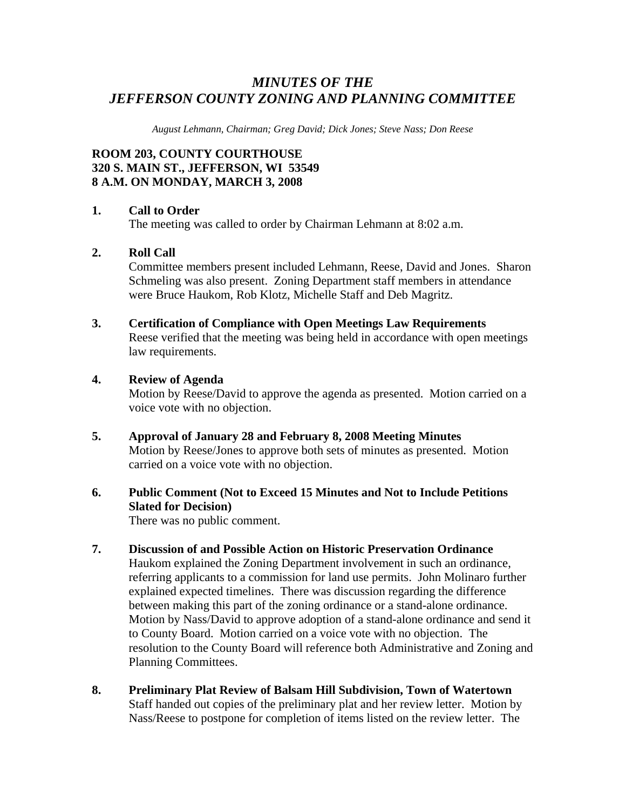## *MINUTES OF THE JEFFERSON COUNTY ZONING AND PLANNING COMMITTEE*

*August Lehmann, Chairman; Greg David; Dick Jones; Steve Nass; Don Reese* 

## **ROOM 203, COUNTY COURTHOUSE 320 S. MAIN ST., JEFFERSON, WI 53549 8 A.M. ON MONDAY, MARCH 3, 2008**

#### **1. Call to Order**

The meeting was called to order by Chairman Lehmann at 8:02 a.m.

#### **2. Roll Call**

Committee members present included Lehmann, Reese, David and Jones. Sharon Schmeling was also present. Zoning Department staff members in attendance were Bruce Haukom, Rob Klotz, Michelle Staff and Deb Magritz.

#### **3. Certification of Compliance with Open Meetings Law Requirements**  Reese verified that the meeting was being held in accordance with open meetings law requirements.

#### **4. Review of Agenda**

Motion by Reese/David to approve the agenda as presented. Motion carried on a voice vote with no objection.

**5. Approval of January 28 and February 8, 2008 Meeting Minutes**  Motion by Reese/Jones to approve both sets of minutes as presented. Motion carried on a voice vote with no objection.

## **6. Public Comment (Not to Exceed 15 Minutes and Not to Include Petitions Slated for Decision)**

There was no public comment.

- **7. Discussion of and Possible Action on Historic Preservation Ordinance**  Haukom explained the Zoning Department involvement in such an ordinance, referring applicants to a commission for land use permits. John Molinaro further explained expected timelines. There was discussion regarding the difference between making this part of the zoning ordinance or a stand-alone ordinance. Motion by Nass/David to approve adoption of a stand-alone ordinance and send it to County Board. Motion carried on a voice vote with no objection. The resolution to the County Board will reference both Administrative and Zoning and Planning Committees.
- **8. Preliminary Plat Review of Balsam Hill Subdivision, Town of Watertown**  Staff handed out copies of the preliminary plat and her review letter. Motion by Nass/Reese to postpone for completion of items listed on the review letter. The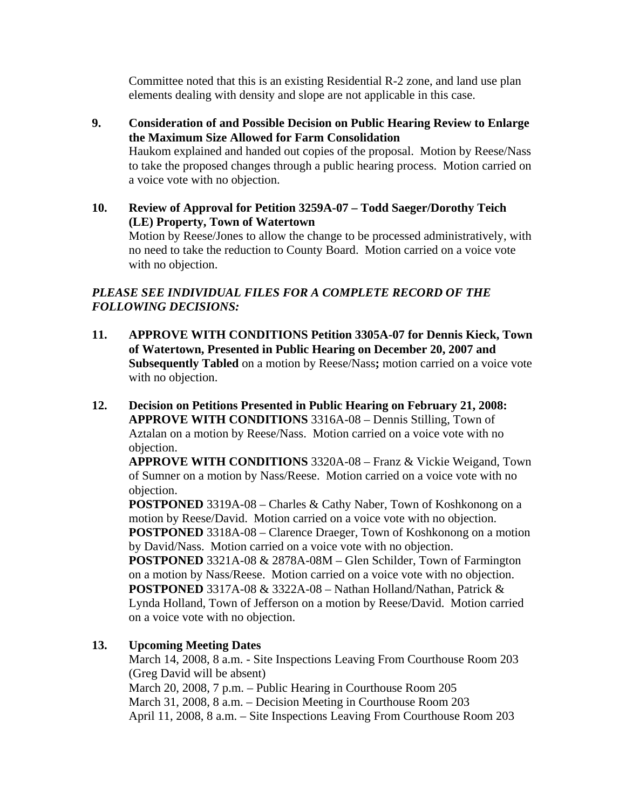Committee noted that this is an existing Residential R-2 zone, and land use plan elements dealing with density and slope are not applicable in this case.

- **9. Consideration of and Possible Decision on Public Hearing Review to Enlarge the Maximum Size Allowed for Farm Consolidation**  Haukom explained and handed out copies of the proposal. Motion by Reese/Nass to take the proposed changes through a public hearing process. Motion carried on a voice vote with no objection.
- **10. Review of Approval for Petition 3259A-07 Todd Saeger/Dorothy Teich (LE) Property, Town of Watertown**

Motion by Reese/Jones to allow the change to be processed administratively, with no need to take the reduction to County Board. Motion carried on a voice vote with no objection.

## *PLEASE SEE INDIVIDUAL FILES FOR A COMPLETE RECORD OF THE FOLLOWING DECISIONS:*

- **11. APPROVE WITH CONDITIONS Petition 3305A-07 for Dennis Kieck, Town of Watertown, Presented in Public Hearing on December 20, 2007 and Subsequently Tabled** on a motion by Reese/Nass**;** motion carried on a voice vote with no objection.
- **12. Decision on Petitions Presented in Public Hearing on February 21, 2008: APPROVE WITH CONDITIONS** 3316A-08 – Dennis Stilling, Town of Aztalan on a motion by Reese/Nass. Motion carried on a voice vote with no objection.

**APPROVE WITH CONDITIONS** 3320A-08 – Franz & Vickie Weigand, Town of Sumner on a motion by Nass/Reese. Motion carried on a voice vote with no objection.

**POSTPONED** 3319A-08 – Charles & Cathy Naber, Town of Koshkonong on a motion by Reese/David. Motion carried on a voice vote with no objection. **POSTPONED** 3318A-08 – Clarence Draeger, Town of Koshkonong on a motion by David/Nass. Motion carried on a voice vote with no objection.

**POSTPONED** 3321A-08 & 2878A-08M – Glen Schilder, Town of Farmington on a motion by Nass/Reese. Motion carried on a voice vote with no objection. **POSTPONED** 3317A-08 & 3322A-08 – Nathan Holland/Nathan, Patrick & Lynda Holland, Town of Jefferson on a motion by Reese/David. Motion carried on a voice vote with no objection.

## **13. Upcoming Meeting Dates**

March 14, 2008, 8 a.m. - Site Inspections Leaving From Courthouse Room 203 (Greg David will be absent)

 March 20, 2008, 7 p.m. – Public Hearing in Courthouse Room 205 March 31, 2008, 8 a.m. – Decision Meeting in Courthouse Room 203 April 11, 2008, 8 a.m. – Site Inspections Leaving From Courthouse Room 203